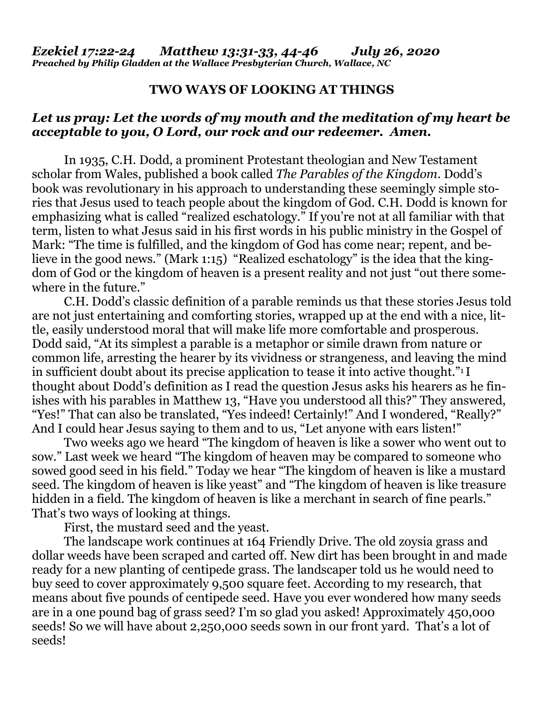## **TWO WAYS OF LOOKING AT THINGS**

## *Let us pray: Let the words of my mouth and the meditation of my heart be acceptable to you, O Lord, our rock and our redeemer. Amen.*

In 1935, C.H. Dodd, a prominent Protestant theologian and New Testament scholar from Wales, published a book called *The Parables of the Kingdom*. Dodd's book was revolutionary in his approach to understanding these seemingly simple stories that Jesus used to teach people about the kingdom of God. C.H. Dodd is known for emphasizing what is called "realized eschatology." If you're not at all familiar with that term, listen to what Jesus said in his first words in his public ministry in the Gospel of Mark: "The time is fulfilled, and the kingdom of God has come near; repent, and believe in the good news." (Mark 1:15) "Realized eschatology" is the idea that the kingdom of God or the kingdom of heaven is a present reality and not just "out there somewhere in the future."

C.H. Dodd's classic definition of a parable reminds us that these stories Jesus told are not just entertaining and comforting stories, wrapped up at the end with a nice, little, easily understood moral that will make life more comfortable and prosperous. Dodd said, "At its simplest a parable is a metaphor or simile drawn from nature or common life, arresting the hearer by its vividness or strangeness, and leaving the mind in sufficient doubt about its precise application to tease it into active thought."<sup>1</sup> I thought about Dodd's definition as I read the question Jesus asks his hearers as he finishes with his parables in Matthew 13, "Have you understood all this?" They answered, "Yes!" That can also be translated, "Yes indeed! Certainly!" And I wondered, "Really?" And I could hear Jesus saying to them and to us, "Let anyone with ears listen!"

Two weeks ago we heard "The kingdom of heaven is like a sower who went out to sow." Last week we heard "The kingdom of heaven may be compared to someone who sowed good seed in his field." Today we hear "The kingdom of heaven is like a mustard seed. The kingdom of heaven is like yeast" and "The kingdom of heaven is like treasure hidden in a field. The kingdom of heaven is like a merchant in search of fine pearls." That's two ways of looking at things.

First, the mustard seed and the yeast.

The landscape work continues at 164 Friendly Drive. The old zoysia grass and dollar weeds have been scraped and carted off. New dirt has been brought in and made ready for a new planting of centipede grass. The landscaper told us he would need to buy seed to cover approximately 9,500 square feet. According to my research, that means about five pounds of centipede seed. Have you ever wondered how many seeds are in a one pound bag of grass seed? I'm so glad you asked! Approximately 450,000 seeds! So we will have about 2,250,000 seeds sown in our front yard. That's a lot of seeds!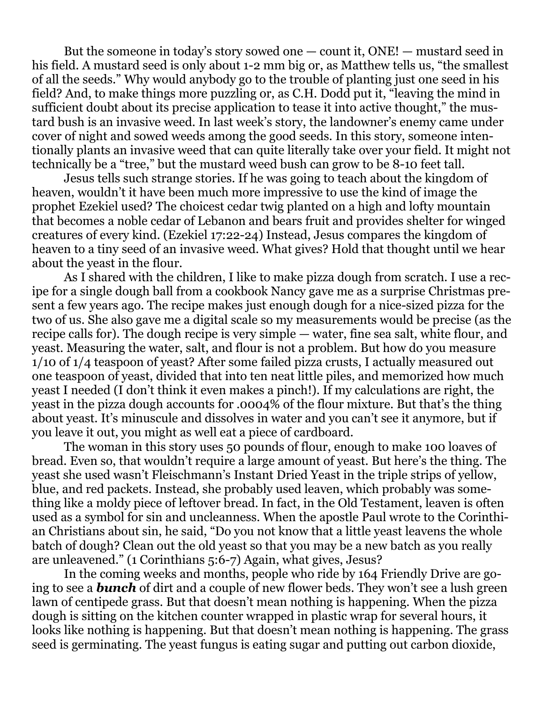But the someone in today's story sowed one — count it, ONE! — mustard seed in his field. A mustard seed is only about 1-2 mm big or, as Matthew tells us, "the smallest of all the seeds." Why would anybody go to the trouble of planting just one seed in his field? And, to make things more puzzling or, as C.H. Dodd put it, "leaving the mind in sufficient doubt about its precise application to tease it into active thought," the mustard bush is an invasive weed. In last week's story, the landowner's enemy came under cover of night and sowed weeds among the good seeds. In this story, someone intentionally plants an invasive weed that can quite literally take over your field. It might not technically be a "tree," but the mustard weed bush can grow to be 8-10 feet tall.

Jesus tells such strange stories. If he was going to teach about the kingdom of heaven, wouldn't it have been much more impressive to use the kind of image the prophet Ezekiel used? The choicest cedar twig planted on a high and lofty mountain that becomes a noble cedar of Lebanon and bears fruit and provides shelter for winged creatures of every kind. (Ezekiel 17:22-24) Instead, Jesus compares the kingdom of heaven to a tiny seed of an invasive weed. What gives? Hold that thought until we hear about the yeast in the flour.

As I shared with the children, I like to make pizza dough from scratch. I use a recipe for a single dough ball from a cookbook Nancy gave me as a surprise Christmas present a few years ago. The recipe makes just enough dough for a nice-sized pizza for the two of us. She also gave me a digital scale so my measurements would be precise (as the recipe calls for). The dough recipe is very simple — water, fine sea salt, white flour, and yeast. Measuring the water, salt, and flour is not a problem. But how do you measure 1/10 of 1/4 teaspoon of yeast? After some failed pizza crusts, I actually measured out one teaspoon of yeast, divided that into ten neat little piles, and memorized how much yeast I needed (I don't think it even makes a pinch!). If my calculations are right, the yeast in the pizza dough accounts for .0004% of the flour mixture. But that's the thing about yeast. It's minuscule and dissolves in water and you can't see it anymore, but if you leave it out, you might as well eat a piece of cardboard.

The woman in this story uses 50 pounds of flour, enough to make 100 loaves of bread. Even so, that wouldn't require a large amount of yeast. But here's the thing. The yeast she used wasn't Fleischmann's Instant Dried Yeast in the triple strips of yellow, blue, and red packets. Instead, she probably used leaven, which probably was something like a moldy piece of leftover bread. In fact, in the Old Testament, leaven is often used as a symbol for sin and uncleanness. When the apostle Paul wrote to the Corinthian Christians about sin, he said, "Do you not know that a little yeast leavens the whole batch of dough? Clean out the old yeast so that you may be a new batch as you really are unleavened." (1 Corinthians 5:6-7) Again, what gives, Jesus?

In the coming weeks and months, people who ride by 164 Friendly Drive are going to see a *bunch* of dirt and a couple of new flower beds. They won't see a lush green lawn of centipede grass. But that doesn't mean nothing is happening. When the pizza dough is sitting on the kitchen counter wrapped in plastic wrap for several hours, it looks like nothing is happening. But that doesn't mean nothing is happening. The grass seed is germinating. The yeast fungus is eating sugar and putting out carbon dioxide,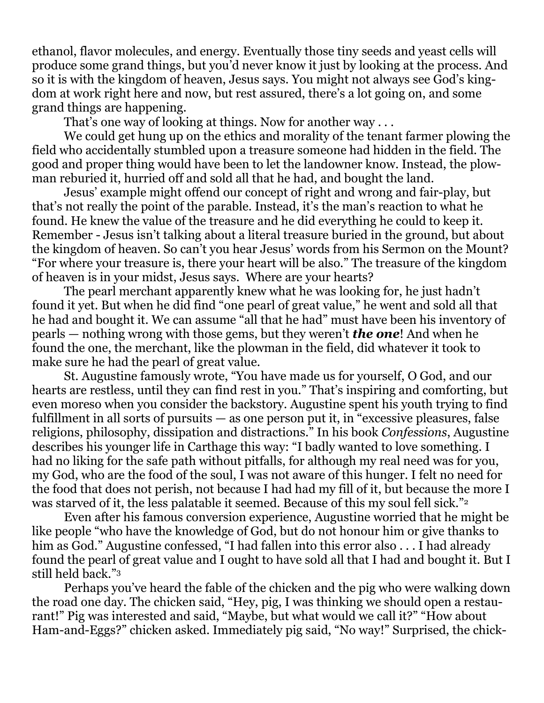ethanol, flavor molecules, and energy. Eventually those tiny seeds and yeast cells will produce some grand things, but you'd never know it just by looking at the process. And so it is with the kingdom of heaven, Jesus says. You might not always see God's kingdom at work right here and now, but rest assured, there's a lot going on, and some grand things are happening.

That's one way of looking at things. Now for another way ...

We could get hung up on the ethics and morality of the tenant farmer plowing the field who accidentally stumbled upon a treasure someone had hidden in the field. The good and proper thing would have been to let the landowner know. Instead, the plowman reburied it, hurried off and sold all that he had, and bought the land.

Jesus' example might offend our concept of right and wrong and fair-play, but that's not really the point of the parable. Instead, it's the man's reaction to what he found. He knew the value of the treasure and he did everything he could to keep it. Remember - Jesus isn't talking about a literal treasure buried in the ground, but about the kingdom of heaven. So can't you hear Jesus' words from his Sermon on the Mount? "For where your treasure is, there your heart will be also." The treasure of the kingdom of heaven is in your midst, Jesus says. Where are your hearts?

The pearl merchant apparently knew what he was looking for, he just hadn't found it yet. But when he did find "one pearl of great value," he went and sold all that he had and bought it. We can assume "all that he had" must have been his inventory of pearls — nothing wrong with those gems, but they weren't *the one*! And when he found the one, the merchant, like the plowman in the field, did whatever it took to make sure he had the pearl of great value.

St. Augustine famously wrote, "You have made us for yourself, O God, and our hearts are restless, until they can find rest in you." That's inspiring and comforting, but even moreso when you consider the backstory. Augustine spent his youth trying to find fulfillment in all sorts of pursuits — as one person put it, in "excessive pleasures, false religions, philosophy, dissipation and distractions." In his book *Confessions*, Augustine describes his younger life in Carthage this way: "I badly wanted to love something. I had no liking for the safe path without pitfalls, for although my real need was for you, my God, who are the food of the soul, I was not aware of this hunger. I felt no need for the food that does not perish, not because I had had my fill of it, but because the more I was starved of it, the less palatable it seemed. Because of this my soul fell sick."<sup>2</sup>

Even after his famous conversion experience, Augustine worried that he might be like people "who have the knowledge of God, but do not honour him or give thanks to him as God." Augustine confessed, "I had fallen into this error also . . . I had already found the pearl of great value and I ought to have sold all that I had and bought it. But I still held back."<sup>3</sup>

Perhaps you've heard the fable of the chicken and the pig who were walking down the road one day. The chicken said, "Hey, pig, I was thinking we should open a restaurant!" Pig was interested and said, "Maybe, but what would we call it?" "How about Ham-and-Eggs?" chicken asked. Immediately pig said, "No way!" Surprised, the chick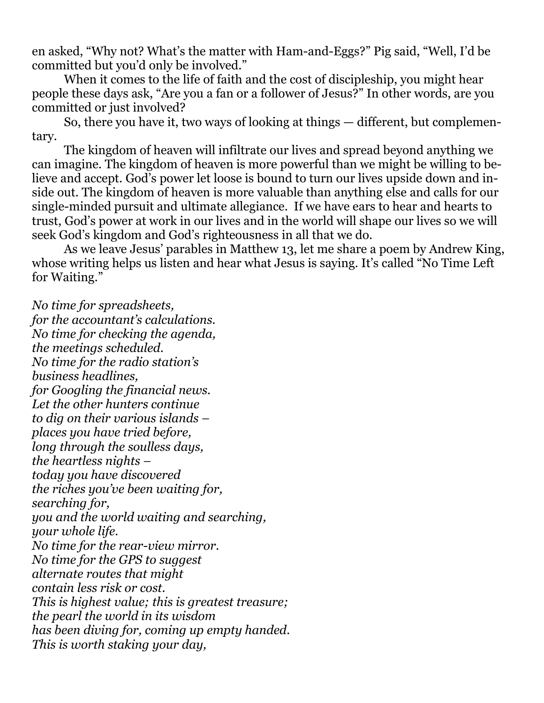en asked, "Why not? What's the matter with Ham-and-Eggs?" Pig said, "Well, I'd be committed but you'd only be involved."

When it comes to the life of faith and the cost of discipleship, you might hear people these days ask, "Are you a fan or a follower of Jesus?" In other words, are you committed or just involved?

So, there you have it, two ways of looking at things — different, but complementary.

The kingdom of heaven will infiltrate our lives and spread beyond anything we can imagine. The kingdom of heaven is more powerful than we might be willing to believe and accept. God's power let loose is bound to turn our lives upside down and inside out. The kingdom of heaven is more valuable than anything else and calls for our single-minded pursuit and ultimate allegiance. If we have ears to hear and hearts to trust, God's power at work in our lives and in the world will shape our lives so we will seek God's kingdom and God's righteousness in all that we do.

As we leave Jesus' parables in Matthew 13, let me share a poem by Andrew King, whose writing helps us listen and hear what Jesus is saying. It's called "No Time Left for Waiting."

*No time for spreadsheets, for the accountant's calculations. No time for checking the agenda, the meetings scheduled. No time for the radio station's business headlines, for Googling the financial news. Let the other hunters continue to dig on their various islands – places you have tried before, long through the soulless days, the heartless nights – today you have discovered the riches you've been waiting for, searching for, you and the world waiting and searching, your whole life. No time for the rear-view mirror. No time for the GPS to suggest alternate routes that might contain less risk or cost. This is highest value; this is greatest treasure; the pearl the world in its wisdom has been diving for, coming up empty handed. This is worth staking your day,*